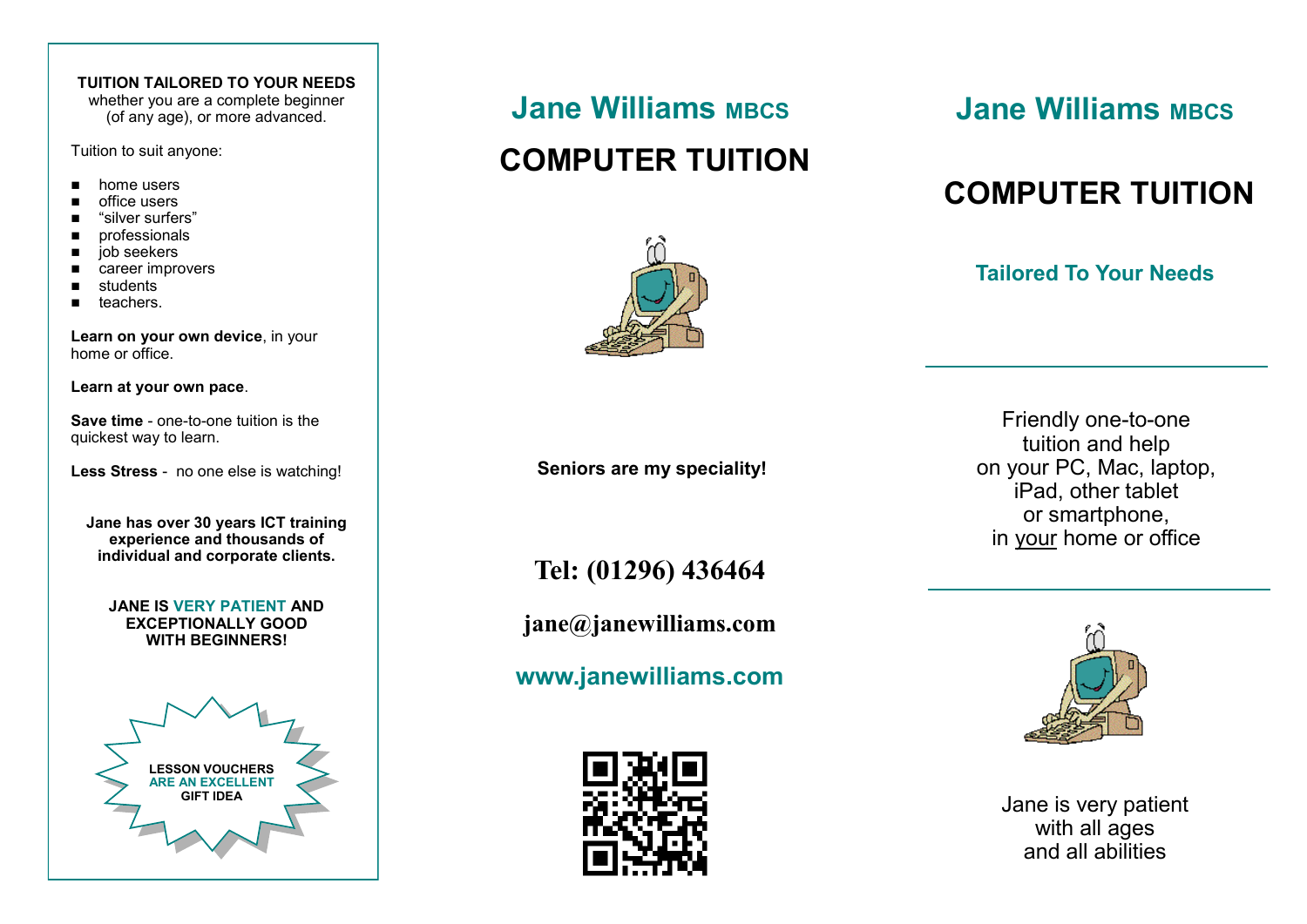## **TUITION TAILORED TO YOUR NEEDS**

whether you are a complete beginner (of any age), or more advanced.

Tuition to suit anyone:

- home users
- office users
- "silver surfers"
- ◼ professionals
- iob seekers
- career improvers
- students
- teachers

**Learn on your own device**, in your home or office.

**Learn at your own pace**.

**Save time** - one-to-one tuition is the quickest way to learn.

**Less Stress** - no one else is watching!

**Jane has over 30 years ICT training experience and thousands of individual and corporate clients.**

**JANE IS VERY PATIENT AND EXCEPTIONALLY GOOD WITH BEGINNERS!**



# **Jane Williams MBCS**

# **COMPUTER TUITION**



**Seniors are my speciality!**

**Jane Williams MBCS** 

# **COMPUTER TUITION**

# **Tailored To Your Needs**

Friendly one-to-one tuition and help on your PC, Mac, laptop, iPad, other tablet or smartphone, in your home or office

**Tel: (01296) 436464**

**jane@janewilliams.com**

**www.janewilliams.com**



**Jane is very patient** with all ages and all abilities